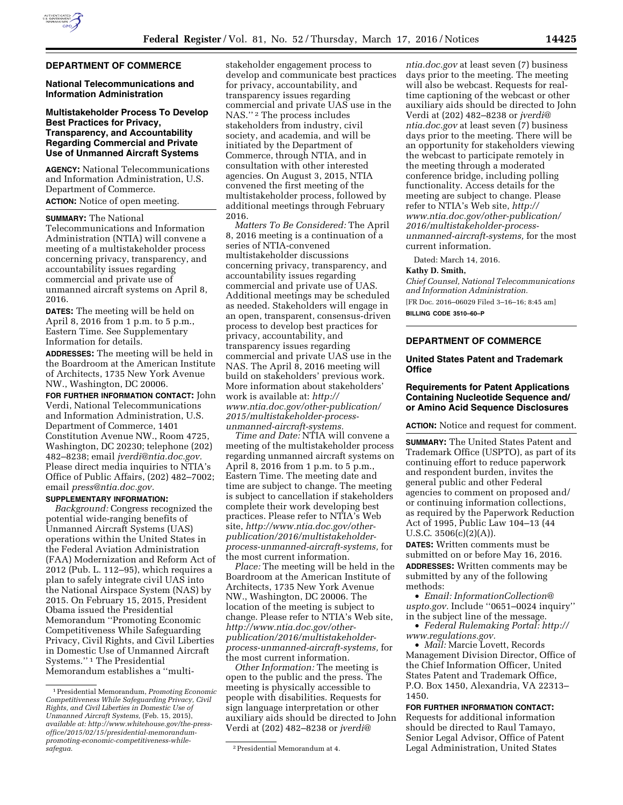### **DEPARTMENT OF COMMERCE**

## **National Telecommunications and Information Administration**

## **Multistakeholder Process To Develop Best Practices for Privacy, Transparency, and Accountability Regarding Commercial and Private Use of Unmanned Aircraft Systems**

**AGENCY:** National Telecommunications and Information Administration, U.S. Department of Commerce. **ACTION:** Notice of open meeting.

# **SUMMARY:** The National

Telecommunications and Information Administration (NTIA) will convene a meeting of a multistakeholder process concerning privacy, transparency, and accountability issues regarding commercial and private use of unmanned aircraft systems on April 8, 2016.

**DATES:** The meeting will be held on April 8, 2016 from 1 p.m. to 5 p.m., Eastern Time. See Supplementary Information for details.

**ADDRESSES:** The meeting will be held in the Boardroom at the American Institute of Architects, 1735 New York Avenue NW., Washington, DC 20006.

**FOR FURTHER INFORMATION CONTACT:** John Verdi, National Telecommunications and Information Administration, U.S. Department of Commerce, 1401 Constitution Avenue NW., Room 4725, Washington, DC 20230; telephone (202) 482–8238; email *[jverdi@ntia.doc.gov.](mailto:jverdi@ntia.doc.gov)*  Please direct media inquiries to NTIA's Office of Public Affairs, (202) 482–7002; email *[press@ntia.doc.gov.](mailto:press@ntia.doc.gov)* 

## **SUPPLEMENTARY INFORMATION:**

*Background:* Congress recognized the potential wide-ranging benefits of Unmanned Aircraft Systems (UAS) operations within the United States in the Federal Aviation Administration (FAA) Modernization and Reform Act of 2012 (Pub. L. 112–95), which requires a plan to safely integrate civil UAS into the National Airspace System (NAS) by 2015. On February 15, 2015, President Obama issued the Presidential Memorandum ''Promoting Economic Competitiveness While Safeguarding Privacy, Civil Rights, and Civil Liberties in Domestic Use of Unmanned Aircraft Systems.'' 1 The Presidential Memorandum establishes a ''multi-

stakeholder engagement process to develop and communicate best practices for privacy, accountability, and transparency issues regarding commercial and private UAS use in the NAS."<sup>2</sup> The process includes stakeholders from industry, civil society, and academia, and will be initiated by the Department of Commerce, through NTIA, and in consultation with other interested agencies. On August 3, 2015, NTIA convened the first meeting of the multistakeholder process, followed by additional meetings through February 2016.

*Matters To Be Considered:* The April 8, 2016 meeting is a continuation of a series of NTIA-convened multistakeholder discussions concerning privacy, transparency, and accountability issues regarding commercial and private use of UAS. Additional meetings may be scheduled as needed. Stakeholders will engage in an open, transparent, consensus-driven process to develop best practices for privacy, accountability, and transparency issues regarding commercial and private UAS use in the NAS. The April 8, 2016 meeting will build on stakeholders' previous work. More information about stakeholders' work is available at: *[http://](http://www.ntia.doc.gov/other-publication/2015/multistakeholder-process-unmanned-aircraft-systems) [www.ntia.doc.gov/other-publication/](http://www.ntia.doc.gov/other-publication/2015/multistakeholder-process-unmanned-aircraft-systems) [2015/multistakeholder-process](http://www.ntia.doc.gov/other-publication/2015/multistakeholder-process-unmanned-aircraft-systems)[unmanned-aircraft-systems.](http://www.ntia.doc.gov/other-publication/2015/multistakeholder-process-unmanned-aircraft-systems)* 

*Time and Date:* NTIA will convene a meeting of the multistakeholder process regarding unmanned aircraft systems on April 8, 2016 from 1 p.m. to 5 p.m., Eastern Time. The meeting date and time are subject to change. The meeting is subject to cancellation if stakeholders complete their work developing best practices. Please refer to NTIA's Web site, *[http://www.ntia.doc.gov/other](http://www.ntia.doc.gov/other-publication/2016/multistakeholder-process-unmanned-aircraft-systems)[publication/2016/multistakeholder](http://www.ntia.doc.gov/other-publication/2016/multistakeholder-process-unmanned-aircraft-systems)[process-unmanned-aircraft-systems,](http://www.ntia.doc.gov/other-publication/2016/multistakeholder-process-unmanned-aircraft-systems)* for the most current information.

*Place:* The meeting will be held in the Boardroom at the American Institute of Architects, 1735 New York Avenue NW., Washington, DC 20006. The location of the meeting is subject to change. Please refer to NTIA's Web site, *[http://www.ntia.doc.gov/other](http://www.ntia.doc.gov/other-publication/2016/multistakeholder-process-unmanned-aircraft-systems)[publication/2016/multistakeholder](http://www.ntia.doc.gov/other-publication/2016/multistakeholder-process-unmanned-aircraft-systems)[process-unmanned-aircraft-systems,](http://www.ntia.doc.gov/other-publication/2016/multistakeholder-process-unmanned-aircraft-systems)* for the most current information.

*Other Information:* The meeting is open to the public and the press. The meeting is physically accessible to people with disabilities. Requests for sign language interpretation or other auxiliary aids should be directed to John Verdi at (202) 482–8238 or *[jverdi@](mailto:jverdi@ntia.doc.gov)*

*[ntia.doc.gov](mailto:jverdi@ntia.doc.gov)* at least seven (7) business days prior to the meeting. The meeting will also be webcast. Requests for realtime captioning of the webcast or other auxiliary aids should be directed to John Verdi at (202) 482–8238 or *[jverdi@](mailto:jverdi@ntia.doc.gov) [ntia.doc.gov](mailto:jverdi@ntia.doc.gov)* at least seven (7) business days prior to the meeting. There will be an opportunity for stakeholders viewing the webcast to participate remotely in the meeting through a moderated conference bridge, including polling functionality. Access details for the meeting are subject to change. Please refer to NTIA's Web site, *[http://](http://www.ntia.doc.gov/other-publication/2016/multistakeholder-process-unmanned-aircraft-systems) [www.ntia.doc.gov/other-publication/](http://www.ntia.doc.gov/other-publication/2016/multistakeholder-process-unmanned-aircraft-systems) [2016/multistakeholder-process](http://www.ntia.doc.gov/other-publication/2016/multistakeholder-process-unmanned-aircraft-systems)[unmanned-aircraft-systems,](http://www.ntia.doc.gov/other-publication/2016/multistakeholder-process-unmanned-aircraft-systems)* for the most current information.

Dated: March 14, 2016.

#### **Kathy D. Smith,**

*Chief Counsel, National Telecommunications and Information Administration.* 

[FR Doc. 2016–06029 Filed 3–16–16; 8:45 am] **BILLING CODE 3510–60–P** 

# **DEPARTMENT OF COMMERCE**

## **United States Patent and Trademark Office**

# **Requirements for Patent Applications Containing Nucleotide Sequence and/ or Amino Acid Sequence Disclosures**

**ACTION:** Notice and request for comment.

**SUMMARY:** The United States Patent and Trademark Office (USPTO), as part of its continuing effort to reduce paperwork and respondent burden, invites the general public and other Federal agencies to comment on proposed and/ or continuing information collections, as required by the Paperwork Reduction Act of 1995, Public Law 104–13 (44 U.S.C. 3506(c)(2)(A)).

**DATES:** Written comments must be submitted on or before May 16, 2016. **ADDRESSES:** Written comments may be submitted by any of the following methods:

• *Email: [InformationCollection@](mailto:InformationCollection@uspto.gov) [uspto.gov.](mailto:InformationCollection@uspto.gov)* Include ''0651–0024 inquiry'' in the subject line of the message.

• *Federal Rulemaking Portal: [http://](http://www.regulations.gov) [www.regulations.gov.](http://www.regulations.gov)* 

• *Mail:* Marcie Lovett, Records Management Division Director, Office of the Chief Information Officer, United States Patent and Trademark Office, P.O. Box 1450, Alexandria, VA 22313– 1450.

**FOR FURTHER INFORMATION CONTACT:**  Requests for additional information should be directed to Raul Tamayo, Senior Legal Advisor, Office of Patent Legal Administration, United States

<sup>1</sup>Presidential Memorandum, *Promoting Economic Competitiveness While Safeguarding Privacy, Civil Rights, and Civil Liberties in Domestic Use of Unmanned Aircraft Systems,* (Feb. 15, 2015), *available at[: http://www.whitehouse.gov/the-press](http://www.whitehouse.gov/the-press-office/2015/02/15/presidential-memorandum-promoting-economic-competitiveness-while-safegua)[office/2015/02/15/presidential-memorandum](http://www.whitehouse.gov/the-press-office/2015/02/15/presidential-memorandum-promoting-economic-competitiveness-while-safegua)promoting-economic-competitiveness-whilesafegua.* 2Presidential Memorandum at 4.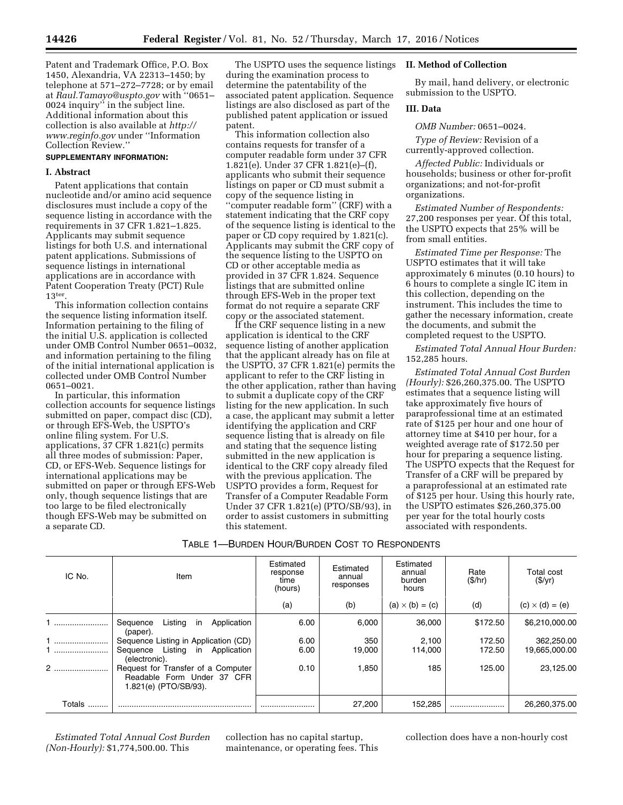Patent and Trademark Office, P.O. Box 1450, Alexandria, VA 22313–1450; by telephone at 571–272–7728; or by email at *[Raul.Tamayo@uspto.gov](mailto:Raul.Tamayo@uspto.gov)* with ''0651– 0024 inquiry<sup>"</sup> in the subject line. Additional information about this collection is also available at *[http://](http://www.reginfo.gov) [www.reginfo.gov](http://www.reginfo.gov)* under ''Information Collection Review.''

# **SUPPLEMENTARY INFORMATION:**

### **I. Abstract**

Patent applications that contain nucleotide and/or amino acid sequence disclosures must include a copy of the sequence listing in accordance with the requirements in 37 CFR 1.821–1.825. Applicants may submit sequence listings for both U.S. and international patent applications. Submissions of sequence listings in international applications are in accordance with Patent Cooperation Treaty (PCT) Rule 13ter.

This information collection contains the sequence listing information itself. Information pertaining to the filing of the initial U.S. application is collected under OMB Control Number 0651–0032, and information pertaining to the filing of the initial international application is collected under OMB Control Number 0651–0021.

In particular, this information collection accounts for sequence listings submitted on paper, compact disc (CD), or through EFS-Web, the USPTO's online filing system. For U.S. applications, 37 CFR 1.821(c) permits all three modes of submission: Paper, CD, or EFS-Web. Sequence listings for international applications may be submitted on paper or through EFS-Web only, though sequence listings that are too large to be filed electronically though EFS-Web may be submitted on a separate CD.

The USPTO uses the sequence listings during the examination process to determine the patentability of the associated patent application. Sequence listings are also disclosed as part of the published patent application or issued patent.

This information collection also contains requests for transfer of a computer readable form under 37 CFR 1.821(e). Under 37 CFR 1.821(e)–(f), applicants who submit their sequence listings on paper or CD must submit a copy of the sequence listing in ''computer readable form'' (CRF) with a statement indicating that the CRF copy of the sequence listing is identical to the paper or CD copy required by 1.821(c). Applicants may submit the CRF copy of the sequence listing to the USPTO on CD or other acceptable media as provided in 37 CFR 1.824. Sequence listings that are submitted online through EFS-Web in the proper text format do not require a separate CRF copy or the associated statement.

If the CRF sequence listing in a new application is identical to the CRF sequence listing of another application that the applicant already has on file at the USPTO, 37 CFR 1.821(e) permits the applicant to refer to the CRF listing in the other application, rather than having to submit a duplicate copy of the CRF listing for the new application. In such a case, the applicant may submit a letter identifying the application and CRF sequence listing that is already on file and stating that the sequence listing submitted in the new application is identical to the CRF copy already filed with the previous application. The USPTO provides a form, Request for Transfer of a Computer Readable Form Under 37 CFR 1.821(e) (PTO/SB/93), in order to assist customers in submitting this statement.

## **II. Method of Collection**

By mail, hand delivery, or electronic submission to the USPTO.

#### **III. Data**

*OMB Number:* 0651–0024.

*Type of Review:* Revision of a currently-approved collection.

*Affected Public:* Individuals or households; business or other for-profit organizations; and not-for-profit organizations.

*Estimated Number of Respondents:*  27,200 responses per year. Of this total, the USPTO expects that 25% will be from small entities.

*Estimated Time per Response:* The USPTO estimates that it will take approximately 6 minutes (0.10 hours) to 6 hours to complete a single IC item in this collection, depending on the instrument. This includes the time to gather the necessary information, create the documents, and submit the completed request to the USPTO.

*Estimated Total Annual Hour Burden:*  152,285 hours.

*Estimated Total Annual Cost Burden (Hourly):* \$26,260,375.00. The USPTO estimates that a sequence listing will take approximately five hours of paraprofessional time at an estimated rate of \$125 per hour and one hour of attorney time at \$410 per hour, for a weighted average rate of \$172.50 per hour for preparing a sequence listing. The USPTO expects that the Request for Transfer of a CRF will be prepared by a paraprofessional at an estimated rate of \$125 per hour. Using this hourly rate, the USPTO estimates \$26,260,375.00 per year for the total hourly costs associated with respondents.

| IC No. | Item                                                                                      | Estimated<br>response<br>time<br>(hours) | Estimated<br>annual<br>responses | Estimated<br>annual<br>burden<br>hours | Rate<br>(S/hr) | Total cost<br>(\$/yr)  |
|--------|-------------------------------------------------------------------------------------------|------------------------------------------|----------------------------------|----------------------------------------|----------------|------------------------|
|        |                                                                                           | (a)                                      | (b)                              | $(a) \times (b) = (c)$                 | (d)            | $(c) \times (d) = (e)$ |
|        | Listing<br>Application<br>Sequence<br><i>in</i><br>(paper).                               | 6.00                                     | 6.000                            | 36,000                                 | \$172.50       | \$6,210,000.00         |
|        | Sequence Listing in Application (CD)                                                      | 6.00                                     | 350                              | 2.100                                  | 172.50         | 362,250.00             |
|        | Listing<br>Application<br>in<br>Sequence<br>(electronic).                                 | 6.00                                     | 19.000                           | 114.000                                | 172.50         | 19,665,000.00          |
| $2$    | Request for Transfer of a Computer<br>Readable Form Under 37 CFR<br>1.821(e) (PTO/SB/93). | 0.10                                     | 1.850                            | 185                                    | 125.00         | 23,125.00              |
| Totals |                                                                                           |                                          | 27.200                           | 152.285                                |                | 26,260,375.00          |

# TABLE 1—BURDEN HOUR/BURDEN COST TO RESPONDENTS

*Estimated Total Annual Cost Burden (Non-Hourly):* \$1,774,500.00. This

collection has no capital startup, maintenance, or operating fees. This collection does have a non-hourly cost